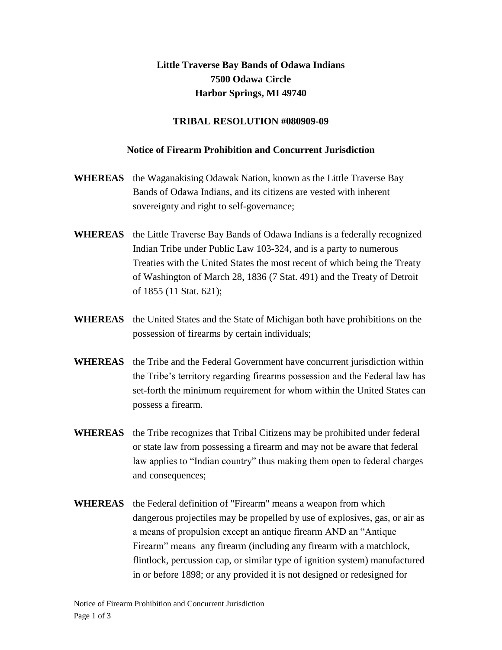## **Little Traverse Bay Bands of Odawa Indians 7500 Odawa Circle Harbor Springs, MI 49740**

## **TRIBAL RESOLUTION #080909-09**

## **Notice of Firearm Prohibition and Concurrent Jurisdiction**

- **WHEREAS** the Waganakising Odawak Nation, known as the Little Traverse Bay Bands of Odawa Indians, and its citizens are vested with inherent sovereignty and right to self-governance;
- **WHEREAS** the Little Traverse Bay Bands of Odawa Indians is a federally recognized Indian Tribe under Public Law 103-324, and is a party to numerous Treaties with the United States the most recent of which being the Treaty of Washington of March 28, 1836 (7 Stat. 491) and the Treaty of Detroit of 1855 (11 Stat. 621);
- **WHEREAS** the United States and the State of Michigan both have prohibitions on the possession of firearms by certain individuals;
- **WHEREAS** the Tribe and the Federal Government have concurrent jurisdiction within the Tribe's territory regarding firearms possession and the Federal law has set-forth the minimum requirement for whom within the United States can possess a firearm.
- **WHEREAS** the Tribe recognizes that Tribal Citizens may be prohibited under federal or state law from possessing a firearm and may not be aware that federal law applies to "Indian country" thus making them open to federal charges and consequences;
- **WHEREAS** the Federal definition of "Firearm" means a weapon from which dangerous projectiles may be propelled by use of explosives, gas, or air as a means of propulsion except an antique firearm AND an "Antique Firearm" means any firearm (including any firearm with a matchlock, flintlock, percussion cap, or similar type of ignition system) manufactured in or before 1898; or any provided it is not designed or redesigned for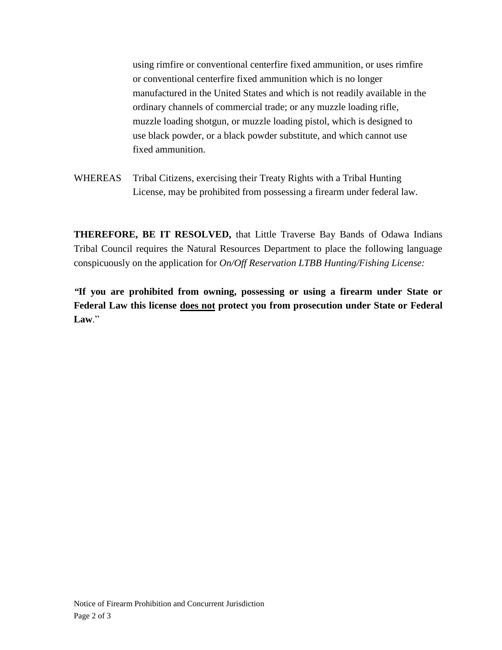using rimfire or conventional centerfire fixed ammunition, or uses rimfire or conventional centerfire fixed ammunition which is no longer manufactured in the United States and which is not readily available in the ordinary channels of commercial trade; or any muzzle loading rifle, muzzle loading shotgun, or muzzle loading pistol, which is designed to use black powder, or a black powder substitute, and which cannot use fixed ammunition.

WHEREAS Tribal Citizens, exercising their Treaty Rights with a Tribal Hunting License, may be prohibited from possessing a firearm under federal law.

**THEREFORE, BE IT RESOLVED,** that Little Traverse Bay Bands of Odawa Indians Tribal Council requires the Natural Resources Department to place the following language conspicuously on the application for *On/Off Reservation LTBB Hunting/Fishing License:* 

*"***If you are prohibited from owning, possessing or using a firearm under State or Federal Law this license does not protect you from prosecution under State or Federal**  Law<sup>"</sup>